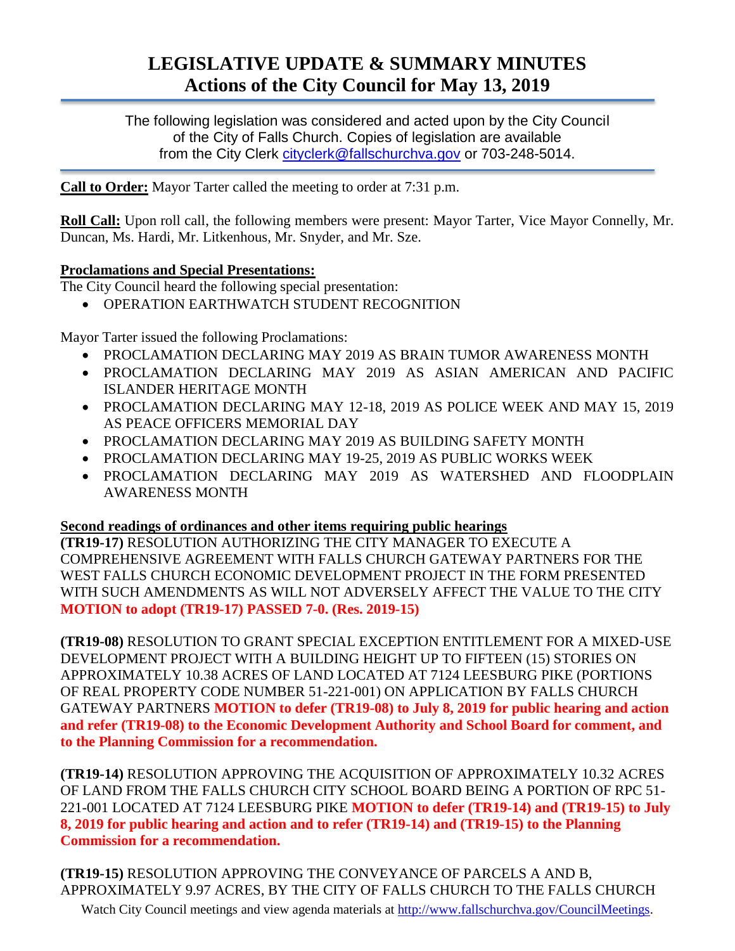# **LEGISLATIVE UPDATE & SUMMARY MINUTES Actions of the City Council for May 13, 2019**

The following legislation was considered and acted upon by the City Council of the City of Falls Church. Copies of legislation are available from the City Clerk [cityclerk@fallschurchva.gov](mailto:cityclerk@fallschurchva.gov) or 703-248-5014.

**Call to Order:** Mayor Tarter called the meeting to order at 7:31 p.m.

**Roll Call:** Upon roll call, the following members were present: Mayor Tarter, Vice Mayor Connelly, Mr. Duncan, Ms. Hardi, Mr. Litkenhous, Mr. Snyder, and Mr. Sze.

### **Proclamations and Special Presentations:**

The City Council heard the following special presentation:

OPERATION EARTHWATCH STUDENT RECOGNITION

Mayor Tarter issued the following Proclamations:

- PROCLAMATION DECLARING MAY 2019 AS BRAIN TUMOR AWARENESS MONTH
- PROCLAMATION DECLARING MAY 2019 AS ASIAN AMERICAN AND PACIFIC ISLANDER HERITAGE MONTH
- PROCLAMATION DECLARING MAY 12-18, 2019 AS POLICE WEEK AND MAY 15, 2019 AS PEACE OFFICERS MEMORIAL DAY
- PROCLAMATION DECLARING MAY 2019 AS BUILDING SAFETY MONTH
- PROCLAMATION DECLARING MAY 19-25, 2019 AS PUBLIC WORKS WEEK
- PROCLAMATION DECLARING MAY 2019 AS WATERSHED AND FLOODPLAIN AWARENESS MONTH

## **Second readings of ordinances and other items requiring public hearings**

**(TR19-17)** RESOLUTION AUTHORIZING THE CITY MANAGER TO EXECUTE A COMPREHENSIVE AGREEMENT WITH FALLS CHURCH GATEWAY PARTNERS FOR THE WEST FALLS CHURCH ECONOMIC DEVELOPMENT PROJECT IN THE FORM PRESENTED WITH SUCH AMENDMENTS AS WILL NOT ADVERSELY AFFECT THE VALUE TO THE CITY **MOTION to adopt (TR19-17) PASSED 7-0. (Res. 2019-15)**

**(TR19-08)** RESOLUTION TO GRANT SPECIAL EXCEPTION ENTITLEMENT FOR A MIXED-USE DEVELOPMENT PROJECT WITH A BUILDING HEIGHT UP TO FIFTEEN (15) STORIES ON APPROXIMATELY 10.38 ACRES OF LAND LOCATED AT 7124 LEESBURG PIKE (PORTIONS OF REAL PROPERTY CODE NUMBER 51-221-001) ON APPLICATION BY FALLS CHURCH GATEWAY PARTNERS **MOTION to defer (TR19-08) to July 8, 2019 for public hearing and action and refer (TR19-08) to the Economic Development Authority and School Board for comment, and to the Planning Commission for a recommendation.**

**(TR19-14)** RESOLUTION APPROVING THE ACQUISITION OF APPROXIMATELY 10.32 ACRES OF LAND FROM THE FALLS CHURCH CITY SCHOOL BOARD BEING A PORTION OF RPC 51- 221-001 LOCATED AT 7124 LEESBURG PIKE **MOTION to defer (TR19-14) and (TR19-15) to July 8, 2019 for public hearing and action and to refer (TR19-14) and (TR19-15) to the Planning Commission for a recommendation.**

Watch City Council meetings and view agenda materials at [http://www.fallschurchva.gov/CouncilMeetings.](http://www.fallschurchva.gov/CouncilMeetings) **(TR19-15)** RESOLUTION APPROVING THE CONVEYANCE OF PARCELS A AND B, APPROXIMATELY 9.97 ACRES, BY THE CITY OF FALLS CHURCH TO THE FALLS CHURCH